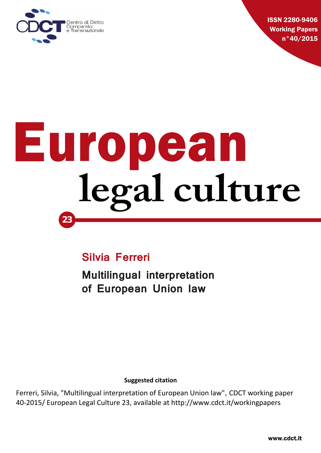

ISSN52280-9406 **Working Papers** 5n°40/2015

# European **legal culture 23**

# **Silvia Ferreri**

**Multilingual interpretation of European Union law** 

**Suggested citation**

Ferreri, Silvia, "Multilingual interpretation of European Union law", CDCT working paper 40-2015/European Legal Culture 23, available at http://www.cdct.it/workingpapers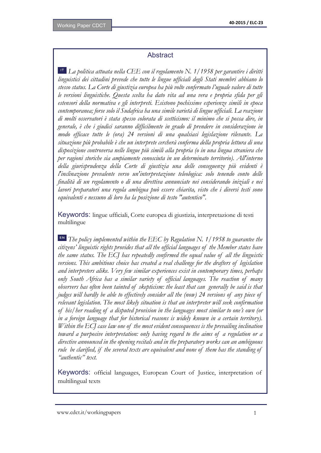# Abstract

*La politica attuata nella CEE con il regolamento N. 1/1958 per garantire i diritti linguistici dei cittadini prevede che tutte le lingue ufficiali degli Stati membri abbiano lo stesso status. La Corte di giustizia europea ha più volte confermato l'uguale valore di tutte le versioni linguistiche. Questa scelta ha dato vita ad una vera e propria sfida per gli estensori della normativa e gli interpreti. Esistono pochissime esperienze simili in epoca contemporanea; forse solo il Sudafrica ha una simile varietà di lingue ufficiali. La reazione di molti osservatori è stata spesso colorata di scetticismo: il minimo che si possa dire, in generale, è che i giudici saranno difficilmente in grado di prendere in considerazione in modo efficace tutte le (ora) 24 versioni di una qualsiasi legislazione rilevante. La situazione più probabile è che un interprete cercherà conferma della propria lettura di una disposizione controversa nelle lingue più simili alla propria (o in una lingua straniera che per ragioni storiche sia ampiamente conosciuta in un determinato territorio). All'interno della giurisprudenza della Corte di giustizia una delle conseguenze più evidenti è l'inclinazione prevalente verso un'interpretazione teleologica: solo tenendo conto delle finalità di un regolamento o di una direttiva annunciate nei considerando iniziali e nei lavori preparatori una regola ambigua può essere chiarita, visto che i diversi testi sono equivalenti e nessuno di loro ha la posizione di testo "autentico".*

Keywords: lingue ufficiali, Corte europea di giustizia, interpretazione di testi multilingue

*The policy implemented within the EEC by Regulation N. 1/1958 to guarantee the citizens' linguistic rights provides that all the official languages of the Member states have the same status. The ECJ has repeatedly confirmed the equal value of all the linguistic versions. This ambitious choice has created a real challenge for the drafters of legislation and interpreters alike. Very few similar experiences exist in contemporary times, perhaps only South Africa has a similar variety of official languages. The reaction of many observers has often been tainted of skepticism: the least that can generally be said is that judges will hardly be able to effectively consider all the (now) 24 versions of any piece of relevant legislation. The most likely situation is that an interpreter will seek confirmation of his/her reading of a disputed provision in the languages most similar to one's own (or in a foreign language that for historical reasons is widely known in a certain territory). Within the ECJ case law one of the most evident consequences is the prevailing inclination toward a purposive interpretation: only having regard to the aims of a regulation or a directive announced in the opening recitals and in the preparatory works can an ambiguous rule be clarified, if the several texts are equivalent and none of them has the standing of "authentic" text.*

Keywords: official languages, European Court of Justice, interpretation of multilingual texts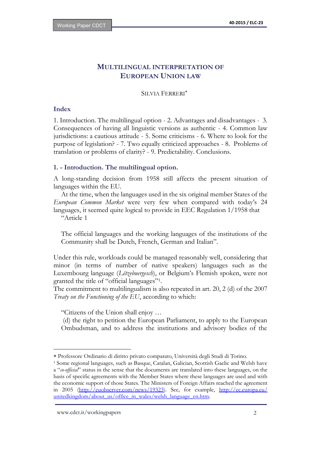# **MULTILINGUAL INTERPRETATION OF EUROPEAN UNION LAW**

### SILVIA FERRERI

# **Index**

1. Introduction. The multilingual option - 2. Advantages and disadvantages - 3. Consequences of having all linguistic versions as authentic - 4. Common law jurisdictions: a cautious attitude - 5. Some criticisms - 6. Where to look for the purpose of legislation? - 7. Two equally criticized approaches - 8. Problems of translation or problems of clarity? - 9. Predictability. Conclusions.

#### **1. - Introduction. The multilingual option.**

A long-standing decision from 1958 still affects the present situation of languages within the EU.

At the time, when the languages used in the six original member States of the *European Common Market* were very few when compared with today's 24 languages, it seemed quite logical to provide in EEC Regulation 1/1958 that

"Article 1

 $\overline{a}$ 

The official languages and the working languages of the institutions of the Community shall be Dutch, French, German and Italian".

Under this rule, workloads could be managed reasonably well, considering that minor (in terms of number of native speakers) languages such as the Luxembourg language (*Lëtzebuergesch*), or Belgium's Flemish spoken, were not granted the title of "official languages"1.

The commitment to multilingualism is also repeated in art. 20, 2 (d) of the 2007 *Treaty on the Functioning of the EU*, according to which:

"Citizens of the Union shall enjoy …

 (d) the right to petition the European Parliament, to apply to the European Ombudsman, and to address the institutions and advisory bodies of the

Professore Ordinario di diritto privato comparato, Università degli Studi di Torino.

<sup>&</sup>lt;sup>1</sup> Some regional languages, such as Basque, Catalan, Galician, Scottish Gaelic and Welsh have a "*co-official*" status in the sense that the documents are translated into these languages, on the basis of specific agreements with the Member States where these languages are used and with the economic support of those States. The Ministers of Foreign Affairs reached the agreement in 2005 [\(http://euobserver.com/news/19323\)](http://euobserver.com/news/19323). See, for example, http://ec.europa.eu/ [unitedkingdom/about\\_us/office\\_in\\_wales/welsh\\_language\\_en.htm.](http://ec.europa.eu/%20unitedkingdom/about_us/office_in_wales/welsh_language_en.htm)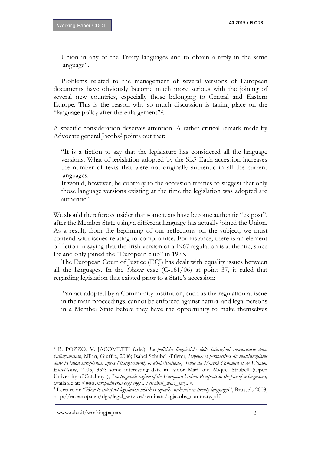Union in any of the Treaty languages and to obtain a reply in the same language".

Problems related to the management of several versions of European documents have obviously become much more serious with the joining of several new countries, especially those belonging to Central and Eastern Europe. This is the reason why so much discussion is taking place on the "language policy after the enlargement"2.

A specific consideration deserves attention. A rather critical remark made by Advocate general Jacobs<sup>3</sup> points out that:

"It is a fiction to say that the legislature has considered all the language versions. What of legislation adopted by the Six? Each accession increases the number of texts that were not originally authentic in all the current languages.

It would, however, be contrary to the accession treaties to suggest that only those language versions existing at the time the legislation was adopted are authentic".

We should therefore consider that some texts have become authentic "ex post", after the Member State using a different language has actually joined the Union. As a result, from the beginning of our reflections on the subject, we must contend with issues relating to compromise. For instance, there is an element of fiction in saying that the Irish version of a 1967 regulation is authentic, since Ireland only joined the "European club" in 1973.

The European Court of Justice (ECJ) has dealt with equality issues between all the languages. In the *Skoma* case (C-161/06) at point 37, it ruled that regarding legislation that existed prior to a State's accession:

"an act adopted by a Community institution, such as the regulation at issue in the main proceedings, cannot be enforced against natural and legal persons in a Member State before they have the opportunity to make themselves

<sup>2</sup> B. POZZO, V. JACOMETTI (eds.), *Le politiche linguistiche delle istituzioni comunitarie dopo l'allargamento*, Milan, Giuffré, 2006; Isabel Schübel ‐Pfister, *Enjeux et perspectives du multilinguisme dans l'Union européenne: après l'élargissement, la «babelisation»*, *Revue du Marché Commun et de L'union Européenne*, 2005, 332; some interesting data in Isidor Marí and Miquel Strubell (Open University of Catalunya), *The linguistic regime of the European Union: Prospects in the face of enlargement,* available at: <*www.europadiversa.org/eng/.../strubell\_mari\_eng...>.*

<sup>3</sup> Lecture on "*How to interpret legislation which is equally authentic in twenty languages*", Brussels 2003, http://ec.europa.eu/dgs/legal\_service/seminars/agjacobs\_summary.pdf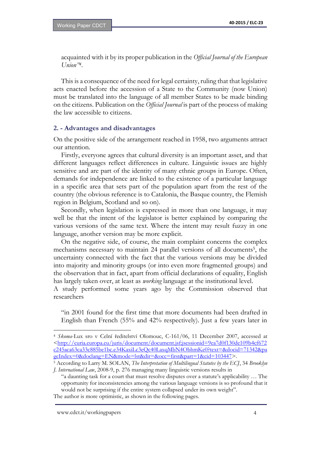acquainted with it by its proper publication in the *Official Journal of the European Union"4*.

This is a consequence of the need for legal certainty, ruling that that legislative acts enacted before the accession of a State to the Community (now Union) must be translated into the language of all member States to be made binding on the citizens. Publication on the *Official Journal* is part of the process of making the law accessible to citizens.

#### **2. - Advantages and disadvantages**

On the positive side of the arrangement reached in 1958, two arguments attract our attention.

Firstly, everyone agrees that cultural diversity is an important asset, and that different languages reflect differences in culture. Linguistic issues are highly sensitive and are part of the identity of many ethnic groups in Europe. Often, demands for independence are linked to the existence of a particular language in a specific area that sets part of the population apart from the rest of the country (the obvious reference is to Catalonia, the Basque country, the Flemish region in Belgium, Scotland and so on).

Secondly, when legislation is expressed in more than one language, it may well be that the intent of the legislator is better explained by comparing the various versions of the same text. Where the intent may result fuzzy in one language, another version may be more explicit.

On the negative side, of course, the main complaint concerns the complex mechanisms necessary to maintain 24 parallel versions of all documents<sup>5</sup>, the uncertainty connected with the fact that the various versions may be divided into majority and minority groups (or into even more fragmented groups) and the observation that in fact, apart from official declarations of equality, English has largely taken over, at least as *working* language at the institutional level.

A study performed some years ago by the Commission observed that researchers

"in 2001 found for the first time that more documents had been drafted in English than French (55% and 42% respectively). Just a few years later in

The author is more optimistic, as shown in the following pages.

<sup>4</sup> *Skoma*-Lux sro v Celní ředitelství Olomouc, C-161/06, 11 December 2007, accessed at [<http://curia.europa.eu/juris/document/document.jsf;jsessionid=9ea7d0f130de109b4cf672](http://curia.europa.eu/juris/document/document.jsf;jsessionid=9ea7d0f130de109b4cf672c245aca63ca33c885be1bc.e34KaxiLc3eQc40LaxqMbN4ObhmKe0?text=&docid=71342&pageIndex=0&doclang=EN&mode=lst&dir=&occ=first&part=1&cid=103447) [c245aca63ca33c885be1bc.e34KaxiLc3eQc40LaxqMbN4ObhmKe0?text=&docid=71342&pa](http://curia.europa.eu/juris/document/document.jsf;jsessionid=9ea7d0f130de109b4cf672c245aca63ca33c885be1bc.e34KaxiLc3eQc40LaxqMbN4ObhmKe0?text=&docid=71342&pageIndex=0&doclang=EN&mode=lst&dir=&occ=first&part=1&cid=103447) [geIndex=0&doclang=EN&mode=lst&dir=&occ=first&part=1&cid=103447>](http://curia.europa.eu/juris/document/document.jsf;jsessionid=9ea7d0f130de109b4cf672c245aca63ca33c885be1bc.e34KaxiLc3eQc40LaxqMbN4ObhmKe0?text=&docid=71342&pageIndex=0&doclang=EN&mode=lst&dir=&occ=first&part=1&cid=103447).

<sup>5</sup> According to Larry M. SOLAN, *The Interpretation of Multilingual Statutes by the ECJ*, 34 *Brooklyn J. International Law*, 2008-9, p. 276 managing many linguistic versions results in

<sup>&</sup>quot;a daunting task for a court that must resolve disputes over a statute's applicability … The opportunity for inconsistencies among the various language versions is so profound that it would not be surprising if the entire system collapsed under its own weight".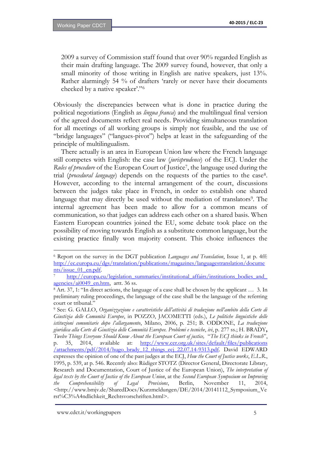2009 a survey of Commission staff found that over 90% regarded English as their main drafting language. The 2009 survey found, however, that only a small minority of those writing in English are native speakers, just 13%. Rather alarmingly 54 % of drafters 'rarely or never have their documents checked by a native speaker'."<sup>6</sup>

Obviously the discrepancies between what is done in practice during the political negotiations (English as *lingua franca*) and the multilingual final version of the agreed documents reflect real needs. Providing simultaneous translation for all meetings of all working groups is simply not feasible, and the use of "bridge languages" ("langues-pivot") helps at least in the safeguarding of the principle of multilingualism.

There actually is an area in European Union law where the French language still competes with English: the case law (*jurisprudence*) of the ECJ. Under the *Rules of procedure* of the European Court of Justice<sup>7</sup>, the language used during the trial (*procedural language*) depends on the requests of the parties to the case8. However, according to the internal arrangement of the court, discussions between the judges take place in French, in order to establish one shared language that may directly be used without the mediation of translators<sup>9</sup>. The internal agreement has been made to allow for a common means of communication, so that judges can address each other on a shared basis. When Eastern European countries joined the EU, some debate took place on the possibility of moving towards English as a substitute common language, but the existing practice finally won majority consent. This choice influences the

<sup>6</sup> Report on the survey in the DGT publication *Languages and Translation*, Issue 1, at p. 4ff: [http://ec.europa.eu/dgs/translation/publications/magazines/languagestranslation/docume](http://ec.europa.eu/dgs/translation/publications/magazines/languagestranslation/documents/issue_01_en.pdf) [nts/issue\\_01\\_en.pdf.](http://ec.europa.eu/dgs/translation/publications/magazines/languagestranslation/documents/issue_01_en.pdf)

http://europa.eu/legislation\_summaries/institutional\_affairs/institutions\_bodies\_and [agencies/ai0049\\_en.htm,](http://europa.eu/legislation_summaries/institutional_affairs/institutions_bodies_and_%20agencies/ai0049_en.htm) artt. 36 ss.

<sup>8</sup> Art. 37, 1: "In direct actions, the language of a case shall be chosen by the applicant … 3. In preliminary ruling proceedings, the language of the case shall be the language of the referring court or tribunal."

<sup>9</sup> See: G. GALLO, *Organizzazione e caratteristiche dell'attività di traduzione nell'ambito della Corte di Giustizia delle Comunità Europee*, in POZZO, JACOMETTI (eds.), *Le politiche linguistiche delle istituzioni comunitarie dopo l'allargamento*, Milano, 2006, p. 251; B. ODDONE, *La traduzione giuridica alla Corte di Giustizia delle Comunità Europee. Problemi e tecniche*, *ivi*, p. 277 ss.; H. BRADY**,**  *Twelve Things Everyone Should Know About the European Court of justice,* "*The ECJ thinks in French*", p. 35, 2014, available at: http://www.cer.org.uk/sites/default/files/publications [/attachments/pdf/2014/hugo\\_brady\\_12\\_things\\_ecj\\_22.07.14-9313.pdf.](http://www.cer.org.uk/sites/default/files/publications%20/attachments/pdf/2014/hugo_brady_12_things_ecj_22.07.14-9313.pdf) David EDWARD expresses the opinion of one of the past judges at the ECJ, *How the Court of Justice works*, *E.L.R*., 1995, p. 539, at p. 546. Recently also: Rüdiger STOTZ (Director General, Directorate Library, Research and Documentation, Court of Justice of the European Union), *The interpretation of legal texts by the Court of Justice of the European Union*, at the *Second European Symposium on Improving the Comprehensibility of Legal Provisions*, Berlin, November 11, 2014, <http://www.bmjv.de/SharedDocs/Kurzmeldungen/DE/2014/20141112\_Symposium\_Ve rst%C3%A4ndlichkeit\_Rechtsvorschriften.html>.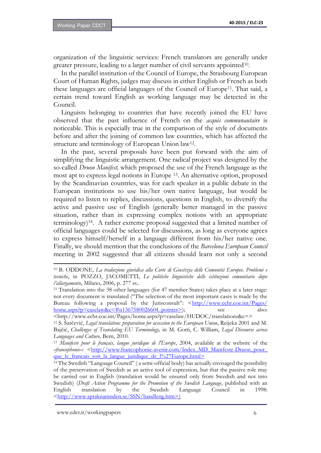organization of the linguistic services: French translators are generally under greater pressure, leading to a larger number of civil servants appointed<sup>10</sup>.

In the parallel institution of the Council of Europe, the Strasbourg European Court of Human Rights, judges may discuss in either English or French as both these languages are official languages of the Council of Europe<sup>11</sup>. That said, a certain trend toward English as working language may be detected in the Council.

Linguists belonging to countries that have recently joined the EU have observed that the past influence of French on the *acquis communautaire* is noticeable. This is especially true in the comparison of the style of documents before and after the joining of common law countries, which has affected the structure and terminology of European Union law<sup>12</sup>.

In the past, several proposals have been put forward with the aim of simplifying the linguistic arrangement. One radical project was designed by the so-called *Druon Manifest,* which proposed the use of the French language as the most apt to express legal notions in Europe 13. An alternative option, proposed by the Scandinavian countries, was for each speaker in a public debate in the European institutions to use his/her own native language, but would be required to listen to replies, discussions, questions in English, to diversify the active and passive use of English (generally better managed in the passive situation, rather than in expressing complex notions with an appropriate terminology)14. A rather extreme proposal suggested that a limited number of official languages could be selected for discussions, as long as everyone agrees to express himself/herself in a language different from his/her native one. Finally, we should mention that the conclusions of the *Barcelona European Council* meeting in 2002 suggested that all citizens should learn not only a second

<sup>10</sup> B. ODDONE, *La traduzione giuridica alla Corte di Giustizia delle Comunità Europee. Problemi e tecniche*, in POZZO, JACOMETTI, *Le politiche linguistiche delle istituzioni comunitarie dopo l'allargamento*, Milano, 2006, p. 277 ss..

<sup>11</sup> Translation into the 38 other languages (for 47 member States) takes place at a later stage: not every document is translated ("The selection of the most important cases is made by the Bureau following a proposal by the Jurisconsult":  $\frac{\text{http://www.echr.co.int/Pages/}}{\text{http://www.echr.co.int/Pages/}}$ [home.aspx?p=caselaw&c=#n1367580026604\\_pointer>](http://www.echr.coe.int/Pages/%20home.aspx?p=caselaw&c=#n1367580026604_pointer)); see also:

<sup>&</sup>lt;http://www.echr.coe.int/Pages/home.aspx?p=caselaw/HUDOC/translations&c=>

<sup>12</sup> S. Šarčević, *Legal translation: preparation for accession to the European Union*, Reijeka 2001 and M. Bajčić, *Challenges of Translating EU Terminology,* in M. Gotti, C. William, *Legal Discourse across Languages and Culture,* Bern, 2010.

<sup>13</sup> *Manifeste pour le français, langue juridique de l'Europe*, 2004, available at the website of the «francophonie»: <http://www.francophonie-avenir.com/Index\_MD\_Manifeste-Druon\_pour que le francais soit la langue juridique de l%27Europe.html>

<sup>14</sup> The Swedish "Language Council" ( a semi-official body) has actually envisaged the possibility of the preservation of Swedish as an active tool of expression, but that the passive role may be carried out in English (translation would be ensured only from Swedish and not into Swedish) (*Draft Action Programme for the Promotion of the Swedish Language*, published with an English translation by the Swedish Language Council in 1998: [<http://www.spraknamnden.se/SSN/handleng.htm>](http://www.spraknamnden.se/SSN/handleng.htm))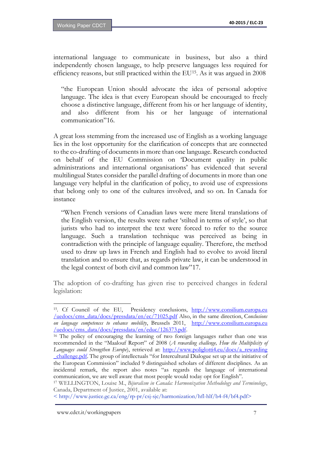international language to communicate in business, but also a third independently chosen language, to help preserve languages less required for efficiency reasons, but still practiced within the EU15. As it was argued in 2008

"the European Union should advocate the idea of personal adoptive language. The idea is that every European should be encouraged to freely choose a distinctive language, different from his or her language of identity, and also different from his or her language of international communication"16.

A great loss stemming from the increased use of English as a working language lies in the lost opportunity for the clarification of concepts that are connected to the co-drafting of documents in more than one language. Research conducted on behalf of the EU Commission on 'Document quality in public administrations and international organisations' has evidenced that several multilingual States consider the parallel drafting of documents in more than one language very helpful in the clarification of policy, to avoid use of expressions that belong only to one of the cultures involved, and so on. In Canada for instance

"When French versions of Canadian laws were mere literal translations of the English version, the results were rather 'stilted in terms of style', so that jurists who had to interpret the text were forced to refer to the source language. Such a translation technique was perceived as being in contradiction with the principle of language equality. Therefore, the method used to draw up laws in French and English had to evolve to avoid literal translation and to ensure that, as regards private law, it can be understood in the legal context of both civil and common law"17.

The adoption of co-drafting has given rise to perceived changes in federal legislation:

<sup>15</sup>. Cf Council of the EU, Presidency conclusions, http://www.consilium.europa.eu /uedocs/cms\_data/docs/pressdata/en/ec/71025.pdf Also, in the same direction, C*onclusions on language competences to enhance mobility*, Brussels 2011, http://www.consilium.europa.eu /uedocs/cms\_data/docs/pressdata/en/educ/126373.pdf.

<sup>16</sup> The policy of encouraging the learning of two foreign languages rather than one was recommended in the "Maalouf Report" of 2008 (*A rewarding challenge, How the Multiplicity of*  Languages could Strengthen Europe), retrieved at: http://www.poliglotti4.eu/docs/a\_rewarding

[\\_challenge.pdf](http://www.poliglotti4.eu/docs/a_rewarding%20_challenge.pdf). The group of intellectuals "for Intercultural Dialogue set up at the initiative of the European Commission" included 9 distinguished scholars of different disciplines. As an incidental remark, the report also notes "as regards the language of international communication, we are well aware that most people would today opt for English".

<sup>17</sup> WELLINGTON, Louise M., *Bijuralism in Canada: Harmonization Methodology and Terminology*, Canada, Department of Justice, 2001, available at:

<sup>&</sup>lt; http://www.justice.gc.ca/eng/rp-pr/csj-sjc/harmonization/hfl-hlf/b4-f4/bf4.pdf>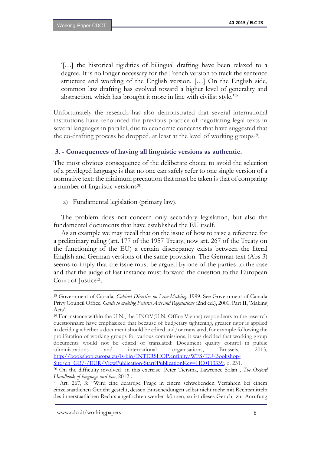'[…] the historical rigidities of bilingual drafting have been relaxed to a degree. It is no longer necessary for the French version to track the sentence structure and wording of the English version. […] On the English side, common law drafting has evolved toward a higher level of generality and abstraction, which has brought it more in line with civilist style.'<sup>18</sup>

Unfortunately the research has also demonstrated that several international institutions have renounced the previous practice of negotiating legal texts in several languages in parallel, due to economic concerns that have suggested that the co-drafting process be dropped, at least at the level of working groups<sup>19</sup>.

# **3. - Consequences of having all linguistic versions as authentic.**

The most obvious consequence of the deliberate choice to avoid the selection of a privileged language is that no one can safely refer to one single version of a normative text: the minimum precaution that must be taken is that of comparing a number of linguistic versions<sup>20</sup>.

a) Fundamental legislation (primary law).

The problem does not concern only secondary legislation, but also the fundamental documents that have established the EU itself.

As an example we may recall that on the issue of how to raise a reference for a preliminary ruling (art. 177 of the 1957 Treaty, now art. 267 of the Treaty on the functioning of the EU) a certain discrepancy exists between the literal English and German versions of the same provision. The German text (Abs 3) seems to imply that the issue must be argued by one of the parties to the case and that the judge of last instance must forward the question to the European Court of Justice21.

[Site/en\\_GB/-/EUR/ViewPublication-Start?PublicationKey=HC0113339,](http://bookshop.europa.eu/is-bin/INTERSHOP.enfinity/WFS/EU-Bookshop-Site/en_GB/-/EUR/ViewPublication-Start?PublicationKey=HC0113339) p. 231.

<sup>18</sup> Government of Canada, *Cabinet Directive on Law-Making*, 1999. See Government of Canada Privy Council Office, *Guide to making Federal Acts and Regulations* (2nd ed.), 2001, Part II, 'Making Acts'.

<sup>&</sup>lt;sup>19</sup> For instance within the U.N., the UNOV(U.N. Office Vienna) respondents to the research questionnaire have emphasized that because of budgetary tightening, greater rigor is applied in deciding whether a document should be edited and/or translated; for example following the proliferation of working groups for various commissions, it was decided that working group documents would not be edited or translated: Document quality control in public administrations and international organisations, Brussels, 2013, [http://bookshop.europa.eu/is-bin/INTERSHOP.enfinity/WFS/EU-Bookshop-](http://bookshop.europa.eu/is-bin/INTERSHOP.enfinity/WFS/EU-Bookshop-Site/en_GB/-/EUR/ViewPublication-Start?PublicationKey=HC0113339)

<sup>20</sup> On the difficulty involved in this exercise: Peter Tiersma, Lawrence Solan , *The Oxford Handbook of language and law*, 2012 .

<sup>21</sup> Art. 267, 3: "Wird eine derartige Frage in einem schwebenden Verfahren bei einem einzelstaatlichen Gericht gestellt, dessen Entscheidungen selbst nicht mehr mit Rechtsmitteln des innerstaatlichen Rechts angefochten werden können, so ist dieses Gericht zur Anrufung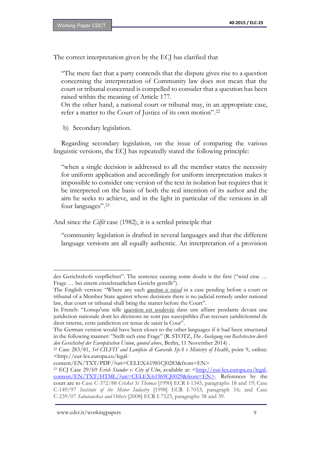The correct interpretation given by the ECJ has clarified that

"The mere fact that a party contends that the dispute gives rise to a question concerning the interpretation of Community law does not mean that the court or tribunal concerned is compelled to consider that a question has been raised within the meaning of Article 177.

On the other hand, a national court or tribunal may, in an appropriate case, refer a matter to the Court of Justice of its own motion".<sup>22</sup>

b) Secondary legislation.

Regarding secondary legislation, on the issue of comparing the various linguistic versions, the ECJ has repeatedly stated the following principle:

"when a single decision is addressed to all the member states the necessity for uniform application and accordingly for uniform interpretation makes it impossible to consider one version of the text in isolation but requires that it be interpreted on the basis of both the real intention of its author and the aim he seeks to achieve, and in the light in particular of the versions in all four languages". 23

And since the *Cilfit* case (1982), it is a settled principle that

"community legislation is drafted in several languages and that the different language versions are all equally authentic. An interpretation of a provision

content/EN/TXT/PDF/?uri=CELEX:61981CJ0283&from=EN>

des Gerichtshofs verpflichtet". The sentence causing some doubt is the first ("wird eine … Frage … bei einem einzelstaatlichen Gericht gestellt").

The English version: "Where any such *question is raised* in a case pending before a court or tribunal of a Member State against whose decisions there is no judicial remedy under national law, that court or tribunal shall bring the matter before the Court".

In French: "Lorsqu'une telle question est soulevée dans une affaire pendante devant une juridiction nationale dont les décisions ne sont pas susceptibles d'un recours juridictionnel de droit interne, cette juridiction est tenue de saisir la Cour".

The German version would have been closer to the other languages if it had been structured in the following manner: "Stellt sich eine Frage" (R. STOTZ, *Die Auslegung von Rechstexten durch den Gerichtshof der Europäischen Union*, *quoted above*, Berlin, 11 November 2014) .

<sup>22</sup> Case 283/81, *Srl CILFIT and Lanificio di Gavardo SpA v Ministry of Health*, point 9, online: <http://eur-lex.europa.eu/legal-

<sup>&</sup>lt;sup>23</sup> ECJ Case 29/69 *Erich Stauder v. City of Ulm*, available at: [<http://eur-lex.europa.eu/legal](http://eur-lex.europa.eu/legal-content/EN/TXT/HTML/?uri=CELEX:61969CJ0029&from=EN)[content/EN/TXT/HTML/?uri=CELEX:61969CJ0029&from=EN>](http://eur-lex.europa.eu/legal-content/EN/TXT/HTML/?uri=CELEX:61969CJ0029&from=EN). References by the court are to Case C-372/88 *Cricket St Thomas* [1990] ECR I-1345, paragraphs 18 and 19; Case C-149/97 *Institute of the Motor Industry* [1998] ECR I-7053, paragraph 16; and Case C-239/07 *Sabatauskas and Others* [2008] ECR I-7523, paragraphs 38 and 39.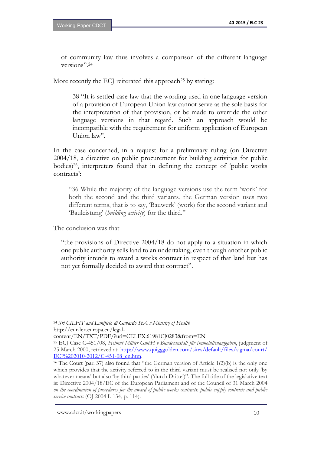of community law thus involves a comparison of the different language versions". 24

More recently the ECJ reiterated this approach<sup>25</sup> by stating:

38 "It is settled case-law that the wording used in one language version of a provision of European Union law cannot serve as the sole basis for the interpretation of that provision, or be made to override the other language versions in that regard. Such an approach would be incompatible with the requirement for uniform application of European Union law".

In the case concerned, in a request for a preliminary ruling (on Directive 2004/18, a directive on public procurement for building activities for public bodies)26, interpreters found that in defining the concept of 'public works contracts':

"36 While the majority of the language versions use the term 'work' for both the second and the third variants, the German version uses two different terms, that is to say, 'Bauwerk' (work) for the second variant and 'Bauleistung' (*building activity*) for the third."

The conclusion was that

1

"the provisions of Directive 2004/18 do not apply to a situation in which one public authority sells land to an undertaking, even though another public authority intends to award a works contract in respect of that land but has not yet formally decided to award that contract".

<sup>24</sup> *Srl CILFIT and Lanificio di Gavardo SpA v Ministry of Health* http://eur-lex.europa.eu/legal-

content/EN/TXT/PDF/?uri=CELEX:61981CJ0283&from=EN

<sup>25</sup> ECJ Case C-451/08, *Helmut Müller GmbH v Bundesanstalt für Immobilienaufgaben*, judgment of 25 March 2000, retrieved at: [http://www.quigggolden.com/sites/default/files/sigma/court/](http://www.quigggolden.com/sites/default/files/sigma/court/%20ECJ%202010-2012/C-451-08_en.htm)  [ECJ%202010-2012/C-451-08\\_en.htm.](http://www.quigggolden.com/sites/default/files/sigma/court/%20ECJ%202010-2012/C-451-08_en.htm)

<sup>&</sup>lt;sup>26</sup> The Court (par. 37) also found that "the German version of Article  $1(2)(b)$  is the only one which provides that the activity referred to in the third variant must be realised not only 'by whatever means' but also 'by third parties' ('durch Dritte')". The full title of the legislative text is: Directive 2004/18/EC of the European Parliament and of the Council of 31 March 2004 *on the coordination of procedures for the award of public works contracts, public supply contracts and public service contracts* (OJ 2004 L 134, p. 114).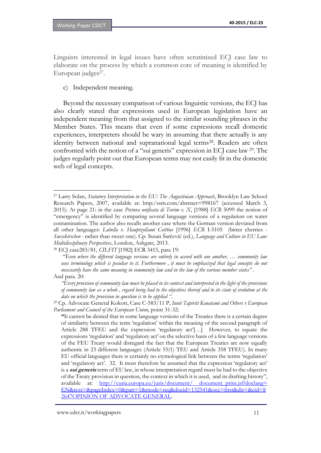Linguists interested in legal issues have often scrutinized ECJ case law to elaborate on the process by which a common core of meaning is identified by European judges $27$ .

c) Independent meaning.

Beyond the necessary comparison of various linguistic versions, the ECJ has also clearly stated that expressions used in European legislation have an independent meaning from that assigned to the similar sounding phrases in the Member States. This means that even if some expressions recall domestic experiences, interpreters should be wary in assuming that there actually is any identity between national and supranational legal terms<sup>28</sup>. Readers are often confronted with the notion of a "sui generis" expression in ECJ case law 29. The judges regularly point out that European terms may not easily fit in the domestic web of legal concepts.

<sup>27</sup> Larry Solan, *Statutory Interpretation in the EU: The Augustinian Approach*, Brooklyn Law School Research Papers, 2007, available at: http:/ssrn.com/abstract=998167 (accessed March 3, 2015). At page 21: in the case *Pretura unificata di Torino v. X*, [1988] *ECR* 5099 the notion of "emergency" is identified by comparing several language versions of a regulation on water contamination. The author also recalls another case where the German version deviated from all other languages: *Lubella v. Hauptzollamt Cottbus* [1996] *ECR* I-5105 (bitter cherries - *Suesskirschen -* rather than sweet one). Cp. Susan Šarčević (ed.), *Language and Culture in EU Law: Multidisciplinary Perspectives*, London, Ashgate, 2013.

<sup>28</sup> ECJ case283/81, *CILFIT* [1982] ECR 3415, para 19:

<sup>&</sup>quot;E*ven where the different language versions are entirely in accord with one another, … community law uses terminology which is peculiar to it. Furthermore , it must be emphasized that legal concepts do not necessarily have the same meaning in community law and in the law of the various member states" .*

And para. 20:

*<sup>&</sup>quot;Every provision of community law must be placed in its context and interpreted in the light of the provisions of community law as a whole , regard being had to the objectives thereof and to its state of evolution at the date on which the provision in question is to be applied ".*

<sup>29</sup> Cp. Advocate General Kokott, Case C-583/11 P, *Inuit Tapiriit Kanatami and Others v European Parliament and Council of the European Union*, point 31-32:

**<sup>&</sup>quot;**It cannot be denied that in some language versions of the Treaties there is a certain degree of similarity between the term 'regulation' within the meaning of the second paragraph of Article 288 TFEU and the expression 'regulatory act'[…] However, to equate the expressions 'regulation' and 'regulatory act' on the selective basis of a few language versions of the FEU Treaty would disregard the fact that the European Treaties are now equally authentic in 23 different languages (Article 55(1) TEU and Article 358 TFEU). In many EU official languages there is certainly no etymological link between the terms 'regulation' and 'regulatory act'. 32. It must therefore be assumed that the expression 'regulatory act' is a **sui generis** term of EU law, in whose interpretation regard must be had to the objective of the Treaty provision in question, the context in which it is used, and its drafting history", available at: http://curia.europa.eu/juris/document/ document print.jsf?doclang= [EN&text=&pageIndex=0&part=1&mode=req&docid=132541&occ=first&dir=&cid=8](http://curia.europa.eu/juris/document/%20document_print.jsf?doclang=%20EN&text=&pageIndex=0&part=1&mode=req&docid=132541&occ=first&dir=&cid=82647OPINION%20OF%20ADVOCATE%20GENERAL) [2647OPINION OF ADVOCATE GENERAL.](http://curia.europa.eu/juris/document/%20document_print.jsf?doclang=%20EN&text=&pageIndex=0&part=1&mode=req&docid=132541&occ=first&dir=&cid=82647OPINION%20OF%20ADVOCATE%20GENERAL)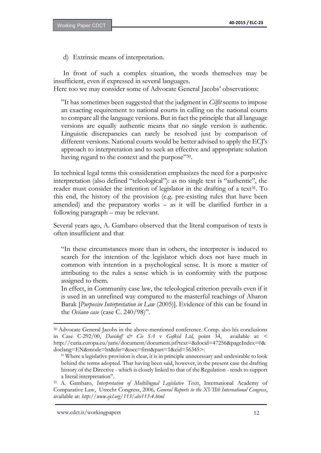d) Extrinsic means of interpretation.

In front of such a complex situation, the words themselves may be insufficient, even if expressed in several languages. Here too we may consider some of Advocate General Jacobs' observations:

"It has sometimes been suggested that the judgment in *Cilfit* seems to impose an exacting requirement to national courts in calling on the national courts to compare all the language versions. But in fact the principle that all language versions are equally authentic means that no single version is authentic. Linguistic discrepancies can rarely be resolved just by comparison of different versions. National courts would be better advised to apply the ECJ's approach to interpretation and to seek an effective and appropriate solution having regard to the context and the purpose"<sup>30</sup>.

In technical legal terms this consideration emphasizes the need for a purposive interpretation (also defined "teleological"): as no single text is "authentic", the reader must consider the intention of legislator in the drafting of a text<sup>31</sup>. To this end, the history of the provision (e.g. pre-existing rules that have been amended) and the preparatory works – as it will be clarified further in a following paragraph – may be relevant.

Several years ago, A. Gambaro observed that the literal comparison of texts is often insufficient and that

"In these circumstances more than in others, the interpreter is induced to search for the intention of the legislator which does not have much in common with intention in a psychological sense. It is more a matter of attributing to the rules a sense which is in conformity with the purpose assigned to them.

In effect, in Community case law, the teleological criterion prevails even if it is used in an unrefined way compared to the masterful teachings of Aharon Barak [*Purposive Interpretation in Law* (2005)]. Evidence of this can be found in the *Océano case* (case C. 240/98)".

<sup>30</sup> Advocate General Jacobs in the above-mentioned conference. Comp. also his conclusions in Case C-292/00, *Davidoff & Cie SA* v *Gofkid Ltd*, point 34, available at: < http://curia.europa.eu/juris/document/document.jsf?text=&docid=47256&pageIndex=0& doclang=EN&mode=lst&dir=&occ=first&part=1&cid=56345>:

<sup>&</sup>quot; Where a legislative provision is clear, it is in principle unnecessary and undesirable to look behind the terms adopted. That having been said, however, in the present case the drafting history of the Directive - which is closely linked to that of the Regulation - tends to support a literal interpretation".

<sup>31</sup> A. Gambaro, *Interpretation of Multilingual Legislative Texts*, International Academy of Comparative Law, Utrecht Congress, 2006, *General Reports to the XVIIth International Congress*, available at: *http://www.ejcl.org/113/abs113-4.html*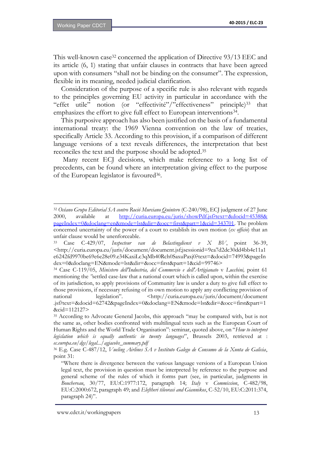1

This well-known case<sup>32</sup> concerned the application of Directive 93/13 EEC and its article (6, 1) stating that unfair clauses in contracts that have been agreed upon with consumers "shall not be binding on the consumer". The expression, flexible in its meaning, needed judicial clarification.

Consideration of the purpose of a specific rule is also relevant with regards to the principles governing EU activity in particular in accordance with the "effet utile" notion (or "effectivité"/"effectiveness" principle)33 that emphasizes the effort to give full effect to European interventions<sup>34</sup>.

This purposive approach has also been justified on the basis of a fundamental international treaty: the 1969 Vienna convention on the law of treaties, specifically Article 33. According to this provision, if a comparison of different language versions of a text reveals differences, the interpretation that best reconciles the text and the purpose should be adopted.<sup>35</sup>

 Many recent ECJ decisions, which make reference to a long list of precedents, can be found where an interpretation giving effect to the purpose of the European legislator is favoured<sup>36</sup>.

<sup>32</sup> *Océano Grupo Editorial SA contro Roció Murciano Quintero* (C-240/98), ECJ judgment of 27 June 2000, available at [http://curia.europa.eu/juris/showPdf.jsf?text=&docid=45388&](http://curia.europa.eu/juris/showPdf.jsf?text=&docid=45388&%20pageIndex=0&doclang=en&mode=lst&dir=&occ=first&part=1&cid=343701)  [pageIndex=0&doclang=en&mode=lst&dir=&occ=first&part=1&cid=343701.](http://curia.europa.eu/juris/showPdf.jsf?text=&docid=45388&%20pageIndex=0&doclang=en&mode=lst&dir=&occ=first&part=1&cid=343701) The problem concerned uncertainty of the power of a court to establish its own motion (*ex officio*) that an unfair clause would be unenforceable.

<sup>33</sup> Case C-429/07, *Inspecteur van de Belastingdienst v X BV*, point 36-39, <http://curia.europa.eu/juris/document/document.jsf;jsessionid=9ea7d2dc30dd4bb4e11a1 e6242fd9970be69e6e28e09.e34KaxiLc3qMb40Rch0SaxuPaxj0?text=&docid=74993&pageIn dex=0&doclang=EN&mode=lst&dir=&occ=first&part=1&cid=99746>

<sup>34</sup> Case C-119/05, *Ministero dell'Industria, del Commercio e dell'Artigianato* v *Lucchini,* point 61 mentioning the *"*settled case-law that a national court which is called upon, within the exercise of its jurisdiction, to apply provisions of Community law is under a duty to give full effect to those provisions, if necessary refusing of its own motion to apply any conflicting provision of national legislation".  $\langle \text{http://curia.europa.eu/juris/document/document} \rangle$ .jsf?text=&docid=62742&pageIndex=0&doclang=EN&mode=lst&dir=&occ=first&part=1 &cid=112127>

<sup>35</sup> According to Advocate General Jacobs, this approach "may be compared with, but is not the same as, other bodies confronted with multilingual texts such as the European Court of Human Rights and the World Trade Organisation": seminar, quoted above, on "*How to interpret legislation which is equally authentic in twenty languages*", Brussels 2003, retrieved at : *ec.europa.eu/dgs/legal.../agjacobs\_summary.pdf*

<sup>36</sup> E.g. Case C-487/12, *Vueling Airlines SA v Instituto Galego de Consumo de la Xunta de Galicia*, point 31:

<sup>&</sup>quot;Where there is divergence between the various language versions of a European Union legal text, the provision in question must be interpreted by reference to the purpose and general scheme of the rules of which it forms part (see, in particular, judgments in *Bouchereau*, 30/77, EU:C:1977:172, paragraph 14; *Italy* v *Commission*, C-482/98, EU:C:2000:672, paragraph 49; and *Eleftheri tileorasi and Giannikos*, C-52/10, EU:C:2011:374, paragraph 24)".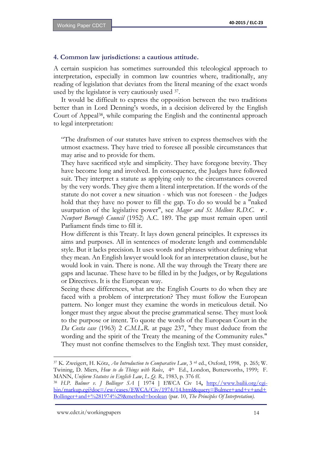# **4. Common law jurisdictions: a cautious attitude.**

A certain suspicion has sometimes surrounded this teleological approach to interpretation, especially in common law countries where, traditionally, any reading of legislation that deviates from the literal meaning of the exact words used by the legislator is very cautiously used 37.

It would be difficult to express the opposition between the two traditions better than in Lord Denning's words, in a decision delivered by the English Court of Appeal38, while comparing the English and the continental approach to legal interpretation:

"The draftsmen of our statutes have striven to express themselves with the utmost exactness. They have tried to foresee all possible circumstances that may arise and to provide for them.

They have sacrificed style and simplicity. They have foregone brevity. They have become long and involved. In consequence, the Judges have followed suit. They interpret a statute as applying only to the circumstances covered by the very words. They give them a literal interpretation. If the words of the statute do not cover a new situation - which was not foreseen - the Judges hold that they have no power to fill the gap. To do so would be a "naked usurpation of the legislative power", see *Magor and St. Mellons R.D.C.* **v** *. Newport Borough Council* (1952) A.C. 189. The gap must remain open until Parliament finds time to fill it.

How different is this Treaty. It lays down general principles. It expresses its aims and purposes. All in sentences of moderate length and commendable style. But it lacks precision. It uses words and phrases without defining what they mean. An English lawyer would look for an interpretation clause, but he would look in vain. There is none. All the way through the Treaty there are gaps and lacunae. These have to be filled in by the Judges, or by Regulations or Directives. It is the European way.

Seeing these differences, what are the English Courts to do when they are faced with a problem of interpretation? They must follow the European pattern. No longer must they examine the words in meticulous detail. No longer must they argue about the precise grammatical sense. They must look to the purpose or intent. To quote the words of the European Court in the *Da Costa case* (1963) 2 *C.M.L.R.* at page 237, "they must deduce from the wording and the spirit of the Treaty the meaning of the Community rules." They must not confine themselves to the English text. They must consider,

<sup>37</sup> K. Zweigert, H. Kötz, *An Introduction to Comparative Law*, 3 rd ed., Oxford, 1998, p. 265; W. Twining, D. Miers, *How to do Things with Rules*, 4th Ed., London, Butterworths, 1999; F. MANN, *Uniform Statutes in English Law*, *L. Q. R.,* 1983, p. 376 ff.

<sup>38</sup> *H.P. Bulmer v. J Bollinger SA* [ 1974 ] EWCA Civ 14**,** [http://www.bailii.org/cgi](http://www.bailii.org/cgi-bin/markup.cgi?doc=/ew/cases/EWCA/Civ/1974/14.html&query=Bulmer+and+v+and+Bollinger+and+%281974%29&method=boolean)[bin/markup.cgi?doc=/ew/cases/EWCA/Civ/1974/14.html&query=Bulmer+and+v+and+](http://www.bailii.org/cgi-bin/markup.cgi?doc=/ew/cases/EWCA/Civ/1974/14.html&query=Bulmer+and+v+and+Bollinger+and+%281974%29&method=boolean) [Bollinger+and+%281974%29&method=boolean](http://www.bailii.org/cgi-bin/markup.cgi?doc=/ew/cases/EWCA/Civ/1974/14.html&query=Bulmer+and+v+and+Bollinger+and+%281974%29&method=boolean) (par. 10, *The Principles Of Interpretation).*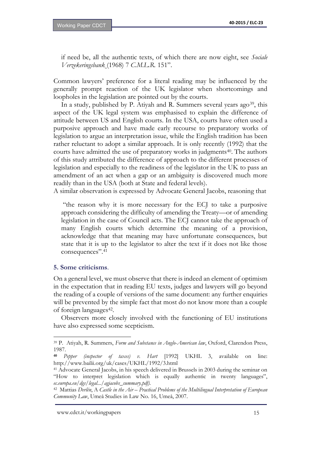if need be, all the authentic texts, of which there are now eight, see *Sociale Verzekeringsbank* (1968) 7 *C.M.L.R.* 151".

Common lawyers' preference for a literal reading may be influenced by the generally prompt reaction of the UK legislator when shortcomings and loopholes in the legislation are pointed out by the courts.

In a study, published by P. Atiyah and R. Summers several years ago<sup>39</sup>, this aspect of the UK legal system was emphasised to explain the difference of attitude between US and English courts. In the USA, courts have often used a purposive approach and have made early recourse to preparatory works of legislation to argue an interpretation issue, while the English tradition has been rather reluctant to adopt a similar approach. It is only recently (1992) that the courts have admitted the use of preparatory works in judgments<sup>40</sup>. The authors of this study attributed the difference of approach to the different processes of legislation and especially to the readiness of the legislator in the UK to pass an amendment of an act when a gap or an ambiguity is discovered much more readily than in the USA (both at State and federal levels).

A similar observation is expressed by Advocate General Jacobs, reasoning that

"the reason why it is more necessary for the ECJ to take a purposive approach considering the difficulty of amending the Treaty—or of amending legislation in the case of Council acts. The ECJ cannot take the approach of many English courts which determine the meaning of a provision, acknowledge that that meaning may have unfortunate consequences, but state that it is up to the legislator to alter the text if it does not like those consequences".<sup>41</sup>

# **5. Some criticisms**.

 $\overline{a}$ 

On a general level, we must observe that there is indeed an element of optimism in the expectation that in reading EU texts, judges and lawyers will go beyond the reading of a couple of versions of the same document: any further enquiries will be prevented by the simple fact that most do not know more than a couple of foreign languages<sup>42</sup>.

Observers more closely involved with the functioning of EU institutions have also expressed some scepticism.

www.cdct.it/workingpapers 15

<sup>39</sup> P. Atiyah, R. Summers, *Form and Substance in Anglo-American law*, Oxford, Clarendon Press, 1987.

**<sup>40</sup>** *Pepper (inspector of taxes) v. Hart* [1992] UKHL 3, available on line: http://www.bailii.org/uk/cases/UKHL/1992/3.html

<sup>41</sup> Advocate General Jacobs, in his speech delivered in Brussels in 2003 during the seminar on "How to interpret legislation which is equally authentic in twenty languages", *ec.europa.eu/dgs/legal.../agjacobs\_summary.pdf).* 

<sup>42</sup> Mattias *Derlén*, A *Castle in the Air* – *Practical Problems of the Multilingual Interpretation of European Community Law*, Umeå Studies in Law No. 16, Umeå, 2007.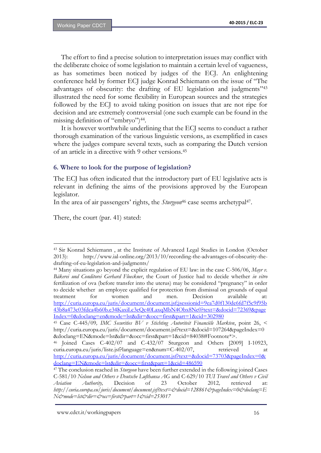The effort to find a precise solution to interpretation issues may conflict with the deliberate choice of some legislation to maintain a certain level of vagueness, as has sometimes been noticed by judges of the ECJ. An enlightening conference held by former ECJ judge Konrad Schiemann on the issue of "The advantages of obscurity: the drafting of EU legislation and judgments"<sup>43</sup> illustrated the need for some flexibility in European sources and the strategies followed by the ECJ to avoid taking position on issues that are not ripe for decision and are extremely controversial (one such example can be found in the missing definition of "embryo")<sup>44</sup>.

It is however worthwhile underlining that the ECJ seems to conduct a rather thorough examination of the various linguistic versions, as exemplified in cases where the judges compare several texts, such as comparing the Dutch version of an article in a directive with 9 other versions.<sup>45</sup>

# **6. Where to look for the purpose of legislation?**

The ECJ has often indicated that the introductory part of EU legislative acts is relevant in defining the aims of the provisions approved by the European legislator.

In the area of air passengers' rights, the *Sturgeon*<sup>46</sup> case seems archetypal<sup>47</sup>.

There, the court (par. 41) stated:

<sup>43</sup> Sir Konrad Schiemann , at the Institute of Advanced Legal Studies in London (October 2013): http://www.ial-online.org/2013/10/recording-the-advantages-of-obscurity-thedrafting-of-eu-legislation-and-judgments/

<sup>44</sup> Many situations go beyond the explicit regulation of EU law: in the case C-506/06, *Mayr v. Bäkerei und Conditorei Gerhard Floeckner*, the Court of Justice had to decide whether *in vitro* fertilization of ova (before transfer into the uterus) may be considered "pregnancy" in order to decide whether an employee qualified for protection from dismissal on grounds of equal treatment for women and men. Decision available at: [http://curia.europa.eu/juris/document/document.jsf;jsessionid=9ea7d0f130de6fd7f5c9f95b](http://curia.europa.eu/juris/document/document.jsf;jsessionid=9ea7d0f130de6fd7f5c9f95b43b8a473c03fdca4b60b.e34KaxiLc3eQc40LaxqMbN4Obx8Ne0?text=&docid=72369&pageIndex=0&doclang=en&mode=lst&dir=&occ=first&part=1&cid=302980) [43b8a473c03fdca4b60b.e34KaxiLc3eQc40LaxqMbN4Obx8Ne0?text=&docid=72369&page](http://curia.europa.eu/juris/document/document.jsf;jsessionid=9ea7d0f130de6fd7f5c9f95b43b8a473c03fdca4b60b.e34KaxiLc3eQc40LaxqMbN4Obx8Ne0?text=&docid=72369&pageIndex=0&doclang=en&mode=lst&dir=&occ=first&part=1&cid=302980) [Index=0&doclang=en&mode=lst&dir=&occ=first&part=1&cid=302980](http://curia.europa.eu/juris/document/document.jsf;jsessionid=9ea7d0f130de6fd7f5c9f95b43b8a473c03fdca4b60b.e34KaxiLc3eQc40LaxqMbN4Obx8Ne0?text=&docid=72369&pageIndex=0&doclang=en&mode=lst&dir=&occ=first&part=1&cid=302980)

<sup>45</sup> Case C-445/09*, IMC Securities BV v Stichting Autoriteit Financiële Markten*, point 26, < http://curia.europa.eu/juris/document/document.jsf?text=&docid=107264&pageIndex=0 &doclang=EN&mode=lst&dir=&occ=first&part=1&cid=84038#Footnote\*>.

<sup>46</sup> Joined Cases C-402/07 and C-432/07 Sturgeon and Others [2009] I-10923, curia.europa.eu/juris/liste.jsf?language=en&num=C-402/07, retrieved at [http://curia.europa.eu/juris/document/document.jsf?text=&docid=73703&pageIndex=0&](http://curia.europa.eu/juris/document/document.jsf?text=&docid=73703&pageIndex=0&doclang=EN&mode=lst&dir=&occ=first&part=1&cid=486590) [doclang=EN&mode=lst&dir=&occ=first&part=1&cid=486590](http://curia.europa.eu/juris/document/document.jsf?text=&docid=73703&pageIndex=0&doclang=EN&mode=lst&dir=&occ=first&part=1&cid=486590)

<sup>47</sup> The conclusion reached in *Sturgeon* have been further extended in the following joined Cases C-581/10 *Nelson and Others v Deutsche Lufthansa AG* and C-629/10 *TUI Travel and Others v Civil Aviation Authority,* Decision of 23 October 2012*,* retrieved at: *http://curia.europa.eu/juris/document/document.jsf?text=&docid=128861&pageIndex=0&doclang=E N&mode=lst&dir=&occ=first&part=1&cid=253017*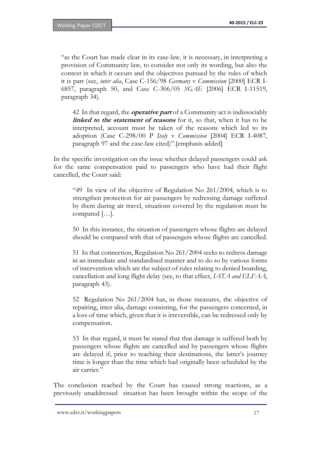"as the Court has made clear in its case-law, it is necessary, in interpreting a provision of Community law, to consider not only its wording, but also the context in which it occurs and the objectives pursued by the rules of which it is part (see, *inter alia*, Case C-156/98 *Germany* v *Commission* [2000] ECR I-6857, paragraph 50, and Case C-306/05 *SGAE* [2006] ECR I-11519, paragraph 34).

42 In that regard, the **operative part** of a Community act is indissociably **linked to the statement of reasons** for it, so that, when it has to be interpreted, account must be taken of the reasons which led to its adoption (Case C-298/00 P *Italy* v *Commission* [2004] ECR I-4087, paragraph 97 and the case-law cited)".[emphasis added]

In the specific investigation on the issue whether delayed passengers could ask for the same compensation paid to passengers who have had their flight cancelled, the Court said:

"49 In view of the objective of Regulation No 261/2004, which is to strengthen protection for air passengers by redressing damage suffered by them during air travel, situations covered by the regulation must be compared […].

50 In this instance, the situation of passengers whose flights are delayed should be compared with that of passengers whose flights are cancelled.

51 In that connection, Regulation No 261/2004 seeks to redress damage in an immediate and standardised manner and to do so by various forms of intervention which are the subject of rules relating to denied boarding, cancellation and long flight delay (see, to that effect, *IATA and ELFAA*, paragraph 43).

52 Regulation No 261/2004 has, in those measures, the objective of repairing, inter alia, damage consisting, for the passengers concerned, in a loss of time which, given that it is irreversible, can be redressed only by compensation.

53 In that regard, it must be stated that that damage is suffered both by passengers whose flights are cancelled and by passengers whose flights are delayed if, prior to reaching their destinations, the latter's journey time is longer than the time which had originally been scheduled by the air carrier."

The conclusion reached by the Court has caused strong reactions, as a previously unaddressed situation has been brought within the scope of the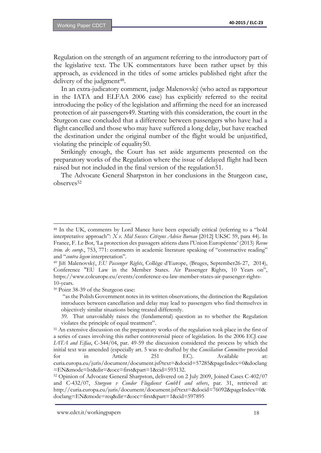Regulation on the strength of an argument referring to the introductory part of the legislative text. The UK commentators have been rather upset by this approach, as evidenced in the titles of some articles published right after the delivery of the judgment<sup>48</sup>.

In an extra-judicatory comment, judge Malenovský (who acted as rapporteur in the IATA and ELFAA 2006 case) has explicitly referred to the recital introducing the policy of the legislation and affirming the need for an increased protection of air passengers49. Starting with this consideration, the court in the Sturgeon case concluded that a difference between passengers who have had a flight cancelled and those who may have suffered a long delay, but have reached the destination under the original number of the flight would be unjustified, violating the principle of equality50.

Strikingly enough, the Court has set aside arguments presented on the preparatory works of the Regulation where the issue of delayed flight had been raised but not included in the final version of the regulation51.

The Advocate General Sharpston in her conclusions in the Sturgeon case, observes<sup>52</sup>

<sup>48</sup> In the UK, comments by Lord Mance have been especially critical (referring to a "bold interpretative approach": *X v. Mid Sussex Citizens Advice Bureau* [2012] UKSC 59, para 44). In France, F. Le Bot, 'La protection des passagers aériens dans l'Union Européenne' (2013) *Revue trim. dr. europ*., 753, 771: comments in academic literature speaking of "constructive reading" and "*contra legem* interpretation".

<sup>49</sup> Jiří Malenovský, *EU Passenger Rights*, Collège d'Europe, (Bruges, September26-27, 2014), Conference "EU Law in the Member States. Air Passenger Rights, 10 Years on", https://www.coleurope.eu/events/conference-eu-law-member-states-air-passenger-rights-10-years.

<sup>50</sup> Point 38-39 of the Sturgeon case:

<sup>&</sup>quot;as the Polish Government notes in its written observations, the distinction the Regulation introduces between cancellation and delay may lead to passengers who find themselves in objectively similar situations being treated differently.

<sup>39.</sup> That unavoidably raises the (fundamental) question as to whether the Regulation violates the principle of equal treatment".

<sup>&</sup>lt;sup>51</sup> An extensive discussion on the preparatory works of the regulation took place in the first of a series of cases involving this rather controversial piece of legislation. In the 2006 ECJ case *IATA and Elfaa*, C-344/04, par. 49-59 the discussion considered the process by which the initial text was amended (especially art. 5 was re-drafted by the *Conciliation Committee* provided for in Article 251 EC). Available at: curia.europa.eu/juris/document/document.jsf?text=&docid=57285&pageIndex=0&doclang =EN&mode=lst&dir=&occ=first&part=1&cid=593132.

<sup>52</sup> Opinion of Advocate General Sharpston, delivered on 2 July 2009, Joined Cases C-402/07 and C-432/07, *Sturgeon v Condor Flugdienst GmbH and others*, par. 31, retrieved at: http://curia.europa.eu/juris/document/document.jsf?text=&docid=76092&pageIndex=0& doclang=EN&mode=req&dir=&occ=first&part=1&cid=597895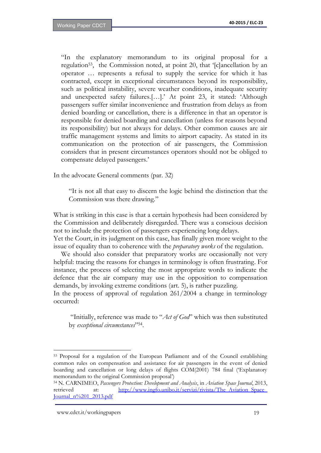"In the explanatory memorandum to its original proposal for a regulation53, the Commission noted, at point 20, that '[c]ancellation by an operator … represents a refusal to supply the service for which it has contracted, except in exceptional circumstances beyond its responsibility, such as political instability, severe weather conditions, inadequate security and unexpected safety failures.[…].' At point 23, it stated: 'Although passengers suffer similar inconvenience and frustration from delays as from denied boarding or cancellation, there is a difference in that an operator is responsible for denied boarding and cancellation (unless for reasons beyond its responsibility) but not always for delays. Other common causes are air traffic management systems and limits to airport capacity. As stated in its communication on the protection of air passengers, the Commission considers that in present circumstances operators should not be obliged to compensate delayed passengers.'

In the advocate General comments (par. 32)

"It is not all that easy to discern the logic behind the distinction that the Commission was there drawing."

What is striking in this case is that a certain hypothesis had been considered by the Commission and deliberately disregarded. There was a conscious decision not to include the protection of passengers experiencing long delays.

Yet the Court, in its judgment on this case, has finally given more weight to the issue of equality than to coherence with the *preparatory works* of the regulation.

We should also consider that preparatory works are occasionally not very helpful: tracing the reasons for changes in terminology is often frustrating. For instance, the process of selecting the most appropriate words to indicate the defence that the air company may use in the opposition to compensation demands, by invoking extreme conditions (art. 5), is rather puzzling.

In the process of approval of regulation 261/2004 a change in terminology occurred:

"Initially, reference was made to "*Act of God*" which was then substituted by *exceptional circumstances*" <sup>54</sup>.

<sup>53</sup> Proposal for a regulation of the European Parliament and of the Council establishing common rules on compensation and assistance for air passengers in the event of denied boarding and cancellation or long delays of flights COM(2001) 784 final ('Explanatory memorandum to the original Commission proposal')

<sup>54</sup> N. CARNIMEO, *Passengers Protection: Development and Analysis*, in *Aviation Space Journal*, 2013, retrieved at: http://www.ingfo.unibo.it/servizi/rivista/The\_Aviation\_Space [Journal\\_n%201\\_2013.pdf](http://www.ingfo.unibo.it/servizi/rivista/The_Aviation_Space_%20Journal_n%201_2013.pdf)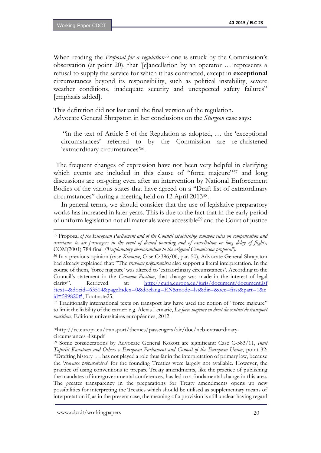1

When reading the *Proposal for a regulation*<sup>55</sup> one is struck by the Commission's observation (at point 20), that '[c]ancellation by an operator … represents a refusal to supply the service for which it has contracted, except in **exceptional** circumstances beyond its responsibility, such as political instability, severe weather conditions, inadequate security and unexpected safety failures" [emphasis added].

This definition did not last until the final version of the regulation. Advocate General Shrapston in her conclusions on the *Sturgeon* case says:

"in the text of Article 5 of the Regulation as adopted, … the 'exceptional circumstances' referred to by the Commission are re-christened 'extraordinary circumstances'56.

 The frequent changes of expression have not been very helpful in clarifying which events are included in this clause of "force majeure"<sup>57</sup> and long discussions are on-going even after an intervention by National Enforcement Bodies of the various states that have agreed on a "Draft list of extraordinary circumstances" during a meeting held on 12 April 201358.

In general terms, we should consider that the use of legislative preparatory works has increased in later years. This is due to the fact that in the early period of uniform legislation not all materials were accessible59 and the Court of justice

<sup>55</sup> Proposal *of the European Parliament and of the Council establishing common rules on compensation and assistance to air passengers in the event of denied boarding and of cancellation or long delay of flights,*  COM(2001) 784 final *('Explanatory memorandum to the original Commission proposal').*

<sup>56</sup> In a previous opinion (case *Kramme*, Case C‐396/06, par. 50), Advocate General Shrapston had already explained that: "The *travaux préparatoires* also support a literal interpretation. In the course of them, 'force majeure' was altered to 'extraordinary circumstances'. According to the Council's statement in the *Common Position*, that change was made in the interest of legal clarity". Retrieved at: http://curia.europa.eu/juris/document/document.jsf [?text=&docid=63514&pageIndex=0&doclang=EN&mode=lst&dir=&occ=first&part=1&c](http://curia.europa.eu/juris/document/document.jsf%20?text=&docid=63514&pageIndex=0&doclang=EN&mode=lst&dir=&occ=first&part=1&cid=599820)  $id = 599820#$ , Footnote25.

<sup>57</sup> Traditionally international texts on transport law have used the notion of "force majeure" to limit the liability of the carrier: e.g[. Alexis Lemarié,](http://www.amazon.it/s/ref=dp_byline_sr_book_1?ie=UTF8&field-author=Alexis+Lemari%C3%A9&search-alias=english-books) *La force majeure en droit du contrat de transport maritime*, Editions universitaires européennes, 2012.

<sup>58</sup>http://ec.europa.eu/transport/themes/passengers/air/doc/neb-extraordinarycircumstances -list.pdf

<sup>59</sup> Some considerations by Advocate General Kokott are significant: Case C-583/11, *Inuit Tapiriit Kanatami and Others v European Parliament and Council of the European Union*, point 32: "Drafting history … has not played a role thus far in the interpretation of primary law, because the '*travaux préparatoires*' for the founding Treaties were largely not available. However, the practice of using conventions to prepare Treaty amendments, like the practice of publishing the mandates of intergovernmental conferences, has led to a fundamental change in this area. The greater transparency in the preparations for Treaty amendments opens up new possibilities for interpreting the Treaties which should be utilised as supplementary means of interpretation if, as in the present case, the meaning of a provision is still unclear having regard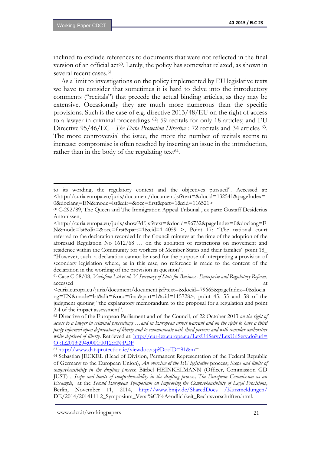$\overline{a}$ 

inclined to exclude references to documents that were not reflected in the final version of an official act<sup>60</sup>. Lately, the policy has somewhat relaxed, as shown in several recent cases.<sup>61</sup>

As a limit to investigations on the policy implemented by EU legislative texts we have to consider that sometimes it is hard to delve into the introductory comments ("recitals") that precede the actual binding articles, as they may be extensive. Occasionally they are much more numerous than the specific provisions. Such is the case of e.g. directive 2013/48/EU on the right of access to a lawyer in criminal proceedings 62: 59 recitals for only 18 articles; and EU Directive 95/46/EC - *The Data Protection Directive* : 72 recitals and 34 articles 63. The more controversial the issue, the more the number of recitals seems to increase: compromise is often reached by inserting an issue in the introduction, rather than in the body of the regulating text $64$ .

to its wording, the regulatory context and the objectives pursued". Accessed at: <http://curia.europa.eu/juris/document/document.jsf?text=&docid=132541&pageIndex= 0&doclang=EN&mode=lst&dir=&occ=first&part=1&cid=116521>

<sup>60</sup> C-292/89, The Queen and The Immigration Appeal Tribunal , ex parte Gustaff Desiderius Antonissen,

<sup>&</sup>lt;http://curia.europa.eu/juris/showPdf.jsf?text=&docid=96732&pageIndex=0&doclang=E N&mode=lst&dir=&occ=first&part=1&cid=114059 >, Point 17: "The national court referred to the declaration recorded In the Council minutes at the time of the adoption of the aforesaid Regulation No 1612/68 … on the abolition of restrictions on movement and residence within the Community for workers of Member States and their families" point 18\_ "However, such a declaration cannot be used for the purpose of interpreting a provision of secondary legislation where, as in this case, no reference is made to the content of the declaration in the wording of the provision in question".

<sup>61</sup> Case C-58/08, *Vodafone Ltd et al. V Secretary of State for Business, Enterprise and Regulatory Reform*, accessed at

<sup>&</sup>lt;curia.europa.eu/juris/document/document.jsf?text=&docid=79665&pageIndex=0&docla ng=EN&mode=lst&dir=&occ=first&part=1&cid=115728>, point 45, 55 and 58 of the judgment quoting "the explanatory memorandum to the proposal for a regulation and point 2.4 of the impact assessment".

<sup>62</sup> Directive of the European Parliament and of the Council, of 22 October 2013 *on the right of access to a lawyer in criminal proceedings …and in European arrest warrant and on the right to have a third party informed upon deprivation of liberty and to communicate with third persons and with consular authorities while deprived of liberty*. Retrieved at: [http://eur-lex.europa.eu/LexUriServ/LexUriServ.do?uri=](http://eur-lex.europa.eu/LexUriServ/LexUriServ.do?uri=%20OJ:L:2013:294:0001:0012:EN:PDF)  [OJ:L:2013:294:0001:0012:EN:PDF](http://eur-lex.europa.eu/LexUriServ/LexUriServ.do?uri=%20OJ:L:2013:294:0001:0012:EN:PDF)

<sup>63</sup> [http://www.dataprotection.ie/viewdoc.asp?DocID=91&m=](http://www.dataprotection.ie/viewdoc.asp?DocID=91&m)

<sup>64</sup> Sebastian JECKEL (Head of Division, Permanent Representation of the Federal Republic of Germany to the European Union), *An overview of the EU legislative* process; *Scope and limits of comprehensibility in the drafting process*; Bärbel HEINKELMANN (Officer, Commission GD JUST) , *Scope and limits of comprehensibility in the drafting process, The European Commission as an Example*, at the *Second European Symposium on Improving the Comprehensibility of Legal Provisions*, Berlin, November 11, 2014, [http://www.bmjv.de/SharedDocs /Kurzmeldungen/](http://www.bmjv.de/SharedDocs%20/Kurzmeldungen/) DE/2014/2014111 2\_Symposium\_Verst%C3%A4ndlichkeit\_Rechtsvorschriften.html.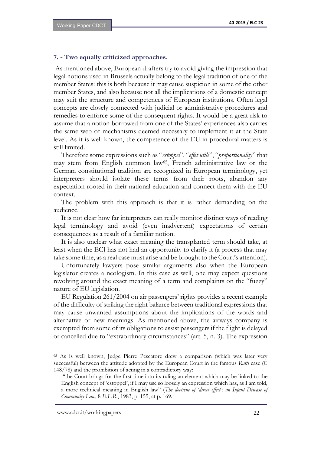#### **7. - Two equally criticized approaches.**

 As mentioned above, European drafters try to avoid giving the impression that legal notions used in Brussels actually belong to the legal tradition of one of the member States: this is both because it may cause suspicion in some of the other member States, and also because not all the implications of a domestic concept may suit the structure and competences of European institutions. Often legal concepts are closely connected with judicial or administrative procedures and remedies to enforce some of the consequent rights. It would be a great risk to assume that a notion borrowed from one of the States' experiences also carries the same web of mechanisms deemed necessary to implement it at the State level. As it is well known, the competence of the EU in procedural matters is still limited.

Therefore some expressions such as "*estoppel*", "*effet utile*", "*proportionality*" that may stem from English common law<sup>65</sup>, French administrative law or the German constitutional tradition are recognized in European terminology, yet interpreters should isolate these terms from their roots, abandon any expectation rooted in their national education and connect them with the EU context.

The problem with this approach is that it is rather demanding on the audience.

It is not clear how far interpreters can really monitor distinct ways of reading legal terminology and avoid (even inadvertent) expectations of certain consequences as a result of a familiar notion.

It is also unclear what exact meaning the transplanted term should take, at least when the ECJ has not had an opportunity to clarify it (a process that may take some time, as a real case must arise and be brought to the Court's attention).

Unfortunately lawyers pose similar arguments also when the European legislator creates a neologism. In this case as well, one may expect questions revolving around the exact meaning of a term and complaints on the "fuzzy" nature of EU legislation.

EU Regulation 261/2004 on air passengers' rights provides a recent example of the difficulty of striking the right balance between traditional expressions that may cause unwanted assumptions about the implications of the words and alternative or new meanings. As mentioned above, the airways company is exempted from some of its obligations to assist passengers if the flight is delayed or cancelled due to "extraordinary circumstances" (art. 5, n. 3). The expression

<sup>65</sup> As is well known, Judge Pierre Pescatore drew a comparison (which was later very successful) between the attitude adopted by the European Court in the famous *Ratti* case (C 148/78) and the prohibition of acting in a contradictory way:

<sup>&</sup>quot;the Court brings for the first time into its ruling an element which may be linked to the English concept of 'estoppel', if I may use so loosely an expression which has, as I am told, a more technical meaning in English law" (*The doctrine of 'direct effect': an Infant Disease of Community Law*, 8 *E.L.R*., 1983, p. 155, at p. 169.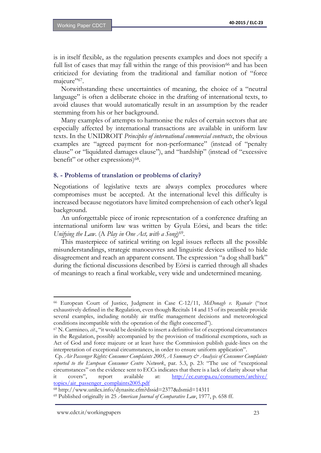is in itself flexible, as the regulation presents examples and does not specify a full list of cases that may fall within the range of this provision<sup>66</sup> and has been criticized for deviating from the traditional and familiar notion of "force majeure"67.

Notwithstanding these uncertainties of meaning, the choice of a "neutral language" is often a deliberate choice in the drafting of international texts, to avoid clauses that would automatically result in an assumption by the reader stemming from his or her background.

Many examples of attempts to harmonise the rules of certain sectors that are especially affected by international transactions are available in uniform law texts. In the UNIDROIT *Principles of international commercial contracts*, the obvious examples are "agreed payment for non-performance" (instead of "penalty clause" or "liquidated damages clause"), and "hardship" (instead of "excessive benefit" or other expressions)<sup>68</sup>.

# **8. - Problems of translation or problems of clarity?**

Negotiations of legislative texts are always complex procedures where compromises must be accepted. At the international level this difficulty is increased because negotiators have limited comprehension of each other's legal background.

An unforgettable piece of ironic representation of a conference drafting an international uniform law was written by Gyula Eörsi, and bears the title: *Unifying the Law*. (A *Play in One Act, with a Song*) <sup>69</sup>.

This masterpiece of satirical writing on legal issues reflects all the possible misunderstandings, strategic manoeuvres and linguistic devices utilised to hide disagreement and reach an apparent consent. The expression "a dog shall bark" during the fictional discussions described by Eörsi is carried through all shades of meanings to reach a final workable, very wide and undetermined meaning.

<sup>68</sup> http://www.unilex.info/dynasite.cfm?dssid=2377&dsmid=14311

<sup>66</sup> European Court of Justice, Judgment in Case C-12/11, *McDonagh v. Ryanair* ("not exhaustively defined in the Regulation, even though Recitals 14 and 15 of its preamble provide several examples, including notably air traffic management decisions and meteorological conditions incompatible with the operation of the flight concerned").

<sup>67</sup> N. Carmineo*, cit*., "it would be desirable to insert a definitive list of exceptional circumstances in the Regulation, possibly accompanied by the provision of traditional exemptions, such as Act of God and force majeure or at least have the Commission publish guide-lines on the interpretation of exceptional circumstances, in order to ensure uniform application".

Cp. *Air Passenger Rights: Consumer Complaints 2005, A Summary & Analysis of Consumer Complaints reported to the European Consumer Centre Network*, par. 5.3, p. 23: "The use of "exceptional circumstances" on the evidence sent to ECCs indicates that there is a lack of clarity about what it covers", report available at: [http://ec.europa.eu/consumers/archive/](http://ec.europa.eu/consumers/archive/%20topics/air_passenger_complaints2005.pdf)  [topics/air\\_passenger\\_complaints2005.pdf](http://ec.europa.eu/consumers/archive/%20topics/air_passenger_complaints2005.pdf)

<sup>69</sup> Published originally in 25 *American Journal of Comparative Law*, 1977, p. 658 ff.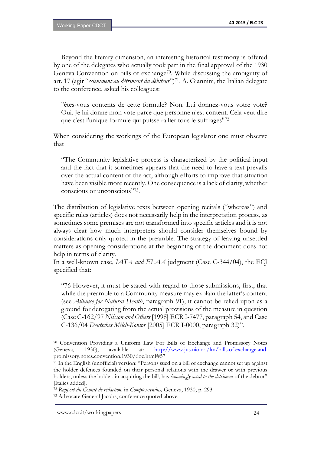Beyond the literary dimension, an interesting historical testimony is offered by one of the delegates who actually took part in the final approval of the 1930 Geneva Convention on bills of exchange70. While discussing the ambiguity of art. 17 (agir "*sciemment au détriment du débiteur*")71, A. Giannini, the Italian delegate to the conference, asked his colleagues:

"êtes-vous contents de cette formule? Non. Lui donnez-vous votre vote? Oui. Je lui donne mon vote parce que personne n'est content. Cela veut dire que c'est l'unique formule qui puisse rallier tous le suffrages"72.

When considering the workings of the European legislator one must observe that

"The Community legislative process is characterized by the political input and the fact that it sometimes appears that the need to have a text prevails over the actual content of the act, although efforts to improve that situation have been visible more recently. One consequence is a lack of clarity, whether conscious or unconscious" <sup>73</sup>.

The distribution of legislative texts between opening recitals ("whereas") and specific rules (articles) does not necessarily help in the interpretation process, as sometimes some premises are not transformed into specific articles and it is not always clear how much interpreters should consider themselves bound by considerations only quoted in the preamble. The strategy of leaving unsettled matters as opening considerations at the beginning of the document does not help in terms of clarity.

In a well-known case, *IATA and ELAA* judgment (Case C-344/04), the ECJ specified that:

"76 However, it must be stated with regard to those submissions, first, that while the preamble to a Community measure may explain the latter's content (see *Alliance for Natural Health*, paragraph 91), it cannot be relied upon as a ground for derogating from the actual provisions of the measure in question (Case C-162/97 *Nilsson and Others* [1998] ECR I-7477, paragraph 54, and Case C-136/04 *Deutsches Milch-Kontor* [2005] ECR I-0000, paragraph 32)".

<sup>70</sup> Convention Providing a Uniform Law For Bills of Exchange and Promissory Notes (Geneva, 1930), available at: [http://www.jus.uio.no/lm/bills.of.exchange.and.](http://www.jus.uio.no/lm/bills.of.exchange.and) promissory.notes.convention.1930/doc.html#57

<sup>71</sup> In the English (unofficial) version: "Persons sued on a bill of exchange cannot set up against the holder defences founded on their personal relations with the drawer or with previous holders, unless the holder, in acquiring the bill, has *knowingly acted to the detriment* of the debtor" [Italics added].

<sup>72</sup> *Rapport du Comité de rédaction,* in *Comptes-rendus,* Geneva, 1930, p. 293.

<sup>73</sup> Advocate General Jacobs, conference quoted above.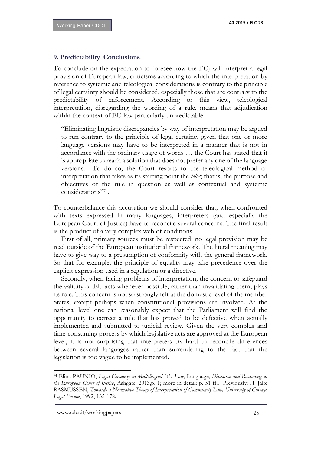# **9. Predictability**. **Conclusions**.

To conclude on the expectation to foresee how the ECJ will interpret a legal provision of European law, criticisms according to which the interpretation by reference to systemic and teleological considerations is contrary to the principle of legal certainty should be considered, especially those that are contrary to the predictability of enforcement. According to this view, teleological interpretation, disregarding the wording of a rule, means that adjudication within the context of EU law particularly unpredictable.

"Eliminating linguistic discrepancies by way of interpretation may be argued to run contrary to the principle of legal certainty given that one or more language versions may have to be interpreted in a manner that is not in accordance with the ordinary usage of words … the Court has stated that it is appropriate to reach a solution that does not prefer any one of the language versions. To do so, the Court resorts to the teleological method of interpretation that takes as its starting point the *telos*; that is, the purpose and objectives of the rule in question as well as contextual and systemic considerations"74.

To counterbalance this accusation we should consider that, when confronted with texts expressed in many languages, interpreters (and especially the European Court of Justice) have to reconcile several concerns. The final result is the product of a very complex web of conditions.

First of all, primary sources must be respected: no legal provision may be read outside of the European institutional framework. The literal meaning may have to give way to a presumption of conformity with the general framework. So that for example, the principle of equality may take precedence over the explicit expression used in a regulation or a directive.

Secondly, when facing problems of interpretation, the concern to safeguard the validity of EU acts whenever possible, rather than invalidating them, plays its role. This concern is not so strongly felt at the domestic level of the member States, except perhaps when constitutional provisions are involved. At the national level one can reasonably expect that the Parliament will find the opportunity to correct a rule that has proved to be defective when actually implemented and submitted to judicial review. Given the very complex and time-consuming process by which legislative acts are approved at the European level, it is not surprising that interpreters try hard to reconcile differences between several languages rather than surrendering to the fact that the legislation is too vague to be implemented.

<sup>74</sup> Elina PAUNIO, *Legal Certainty in Multilingual EU Law*, Language, *Discourse and Reasoning at the European Court of Justice*, Ashgate, 2013,p. 1; more in detail: p. 51 ff.. Previously: H. Jalte RASMUSSEN, *Towards a Normative Theory of Interpretation of Community Law, University of Chicago Legal Forum*, 1992, 135-178.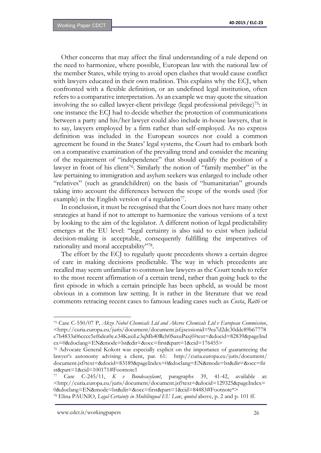Other concerns that may affect the final understanding of a rule depend on the need to harmonize, where possible, European law with the national law of the member States, while trying to avoid open clashes that would cause conflict with lawyers educated in their own tradition. This explains why the ECJ, when confronted with a flexible definition, or an undefined legal institution, often refers to a comparative interpretation. As an example we may quote the situation involving the so called lawyer-client privilege (legal professional privilege)75: in one instance the ECJ had to decide whether the protection of communications between a party and his/her lawyer could also include in-house lawyers, that is to say, lawyers employed by a firm rather than self-employed. As no express definition was included in the European sources nor could a common agreement be found in the States' legal systems, the Court had to embark both on a comparative examination of the prevailing trend and consider the meaning of the requirement of "independence" that should qualify the position of a lawyer in front of his client<sup>76</sup>. Similarly the notion of "family member" in the law pertaining to immigration and asylum seekers was enlarged to include other "relatives" (such as grandchildren) on the basis of "humanitarian" grounds taking into account the differences between the scope of the words used (for example) in the English version of a regulation<sup>77</sup>.

In conclusion, it must be recognised that the Court does not have many other strategies at hand if not to attempt to harmonize the various versions of a text by looking to the aim of the legislator. A different notion of legal predictability emerges at the EU level: "legal certainty is also said to exist when judicial decision-making is acceptable, consequently fulfilling the imperatives of rationality and moral acceptability"<sup>78</sup>.

The effort by the ECJ to regularly quote precedents shows a certain degree of care in making decisions predictable. The way in which precedents are recalled may seem unfamiliar to common law lawyers as the Court tends to refer to the most recent affirmation of a certain trend, rather than going back to the first episode in which a certain principle has been upheld, as would be most obvious in a common law setting. It is rather in the literature that we read comments retracing recent cases to famous leading cases such as *Costa*, *Ratti* or

<sup>75</sup> Case C-550/07 P, *Akzo Nobel Chemicals Ltd and Akcros Chemicals Ltd v European Commission*, <http://curia.europa.eu/juris/document/document.jsf;jsessionid=9ea7d2dc30ddc89b67778 e7b4833a06cccc5ef6dea0e.e34KaxiLc3qMb40Rch0SaxuPaxj0?text=&docid=82839&pageInd ex=0&doclang=EN&mode=lst&dir=&occ=first&part=1&cid=176455>

<sup>76</sup> Advocate General Kokott was especially explicit on the importance of guaranteeing the lawyer's autonomy advising a client, par. 61: http://curia.europa.eu/juris/document/ document.jsf?text=&docid=83189&pageIndex=0&doclang=EN&mode=lst&dir=&occ=fir st&part=1&cid=100171#Footnote1

<sup>77</sup> Case C-245/11, *K v Bundesasylamt*, paragraphs 39, 41-42, available at: <http://curia.europa.eu/juris/document/document.jsf?text=&docid=129325&pageIndex= 0&doclang=EN&mode=lst&dir=&occ=first&part=1&cid=84483#Footnote\*>

<sup>78</sup> Elina PAUNIO, *Legal Certainty in Multilingual EU Law*, *quoted* above, p. 2 and p. 101 ff.